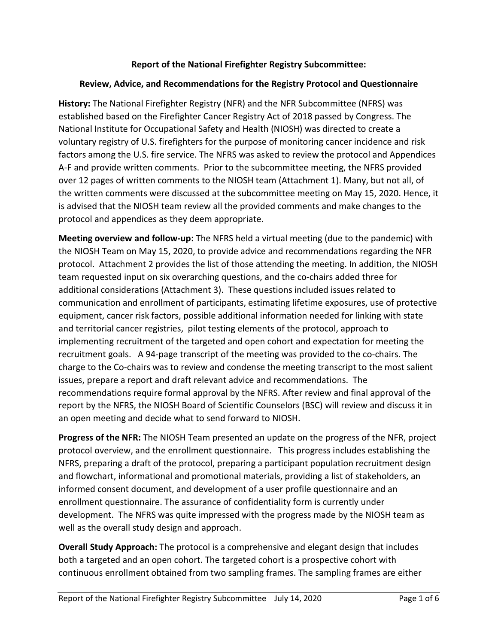## **Report of the National Firefighter Registry Subcommittee:**

## **Review, Advice, and Recommendations for the Registry Protocol and Questionnaire**

**History:** The National Firefighter Registry (NFR) and the NFR Subcommittee (NFRS) was established based on the Firefighter Cancer Registry Act of 2018 passed by Congress. The National Institute for Occupational Safety and Health (NIOSH) was directed to create a voluntary registry of U.S. firefighters for the purpose of monitoring cancer incidence and risk factors among the U.S. fire service. The NFRS was asked to review the protocol and Appendices A-F and provide written comments. Prior to the subcommittee meeting, the NFRS provided over 12 pages of written comments to the NIOSH team (Attachment 1). Many, but not all, of the written comments were discussed at the subcommittee meeting on May 15, 2020. Hence, it is advised that the NIOSH team review all the provided comments and make changes to the protocol and appendices as they deem appropriate.

**Meeting overview and follow-up:** The NFRS held a virtual meeting (due to the pandemic) with the NIOSH Team on May 15, 2020, to provide advice and recommendations regarding the NFR protocol. Attachment 2 provides the list of those attending the meeting. In addition, the NIOSH team requested input on six overarching questions, and the co-chairs added three for additional considerations (Attachment 3). These questions included issues related to communication and enrollment of participants, estimating lifetime exposures, use of protective equipment, cancer risk factors, possible additional information needed for linking with state and territorial cancer registries, pilot testing elements of the protocol, approach to implementing recruitment of the targeted and open cohort and expectation for meeting the recruitment goals. A 94-page transcript of the meeting was provided to the co-chairs. The charge to the Co-chairs was to review and condense the meeting transcript to the most salient issues, prepare a report and draft relevant advice and recommendations. The recommendations require formal approval by the NFRS. After review and final approval of the report by the NFRS, the NIOSH Board of Scientific Counselors (BSC) will review and discuss it in an open meeting and decide what to send forward to NIOSH.

**Progress of the NFR:** The NIOSH Team presented an update on the progress of the NFR, project protocol overview, and the enrollment questionnaire. This progress includes establishing the NFRS, preparing a draft of the protocol, preparing a participant population recruitment design and flowchart, informational and promotional materials, providing a list of stakeholders, an informed consent document, and development of a user profile questionnaire and an enrollment questionnaire. The assurance of confidentiality form is currently under development. The NFRS was quite impressed with the progress made by the NIOSH team as well as the overall study design and approach.

**Overall Study Approach:** The protocol is a comprehensive and elegant design that includes both a targeted and an open cohort. The targeted cohort is a prospective cohort with continuous enrollment obtained from two sampling frames. The sampling frames are either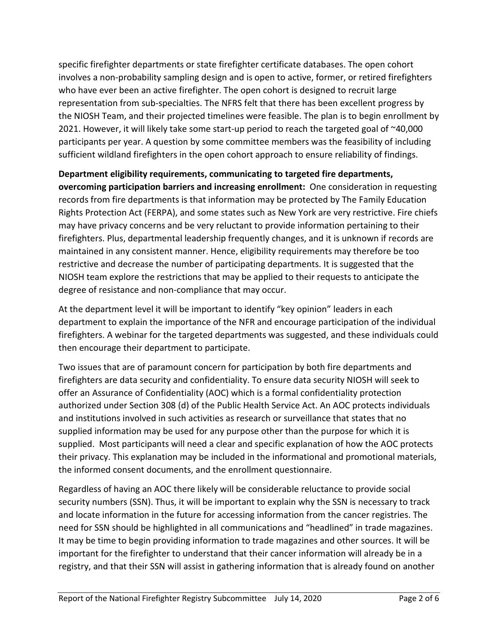specific firefighter departments or state firefighter certificate databases. The open cohort involves a non-probability sampling design and is open to active, former, or retired firefighters who have ever been an active firefighter. The open cohort is designed to recruit large representation from sub-specialties. The NFRS felt that there has been excellent progress by the NIOSH Team, and their projected timelines were feasible. The plan is to begin enrollment by 2021. However, it will likely take some start-up period to reach the targeted goal of ~40,000 participants per year. A question by some committee members was the feasibility of including sufficient wildland firefighters in the open cohort approach to ensure reliability of findings.

**Department eligibility requirements, communicating to targeted fire departments, overcoming participation barriers and increasing enrollment:** One consideration in requesting records from fire departments is that information may be protected by The Family Education Rights Protection Act (FERPA), and some states such as New York are very restrictive. Fire chiefs may have privacy concerns and be very reluctant to provide information pertaining to their firefighters. Plus, departmental leadership frequently changes, and it is unknown if records are maintained in any consistent manner. Hence, eligibility requirements may therefore be too restrictive and decrease the number of participating departments. It is suggested that the NIOSH team explore the restrictions that may be applied to their requests to anticipate the degree of resistance and non-compliance that may occur.

At the department level it will be important to identify "key opinion" leaders in each department to explain the importance of the NFR and encourage participation of the individual firefighters. A webinar for the targeted departments was suggested, and these individuals could then encourage their department to participate.

Two issues that are of paramount concern for participation by both fire departments and firefighters are data security and confidentiality. To ensure data security NIOSH will seek to offer an Assurance of Confidentiality (AOC) which is a formal confidentiality protection authorized under Section 308 (d) of the Public Health Service Act. An AOC protects individuals and institutions involved in such activities as research or surveillance that states that no supplied information may be used for any purpose other than the purpose for which it is supplied. Most participants will need a clear and specific explanation of how the AOC protects their privacy. This explanation may be included in the informational and promotional materials, the informed consent documents, and the enrollment questionnaire.

Regardless of having an AOC there likely will be considerable reluctance to provide social security numbers (SSN). Thus, it will be important to explain why the SSN is necessary to track and locate information in the future for accessing information from the cancer registries. The need for SSN should be highlighted in all communications and "headlined" in trade magazines. It may be time to begin providing information to trade magazines and other sources. It will be important for the firefighter to understand that their cancer information will already be in a registry, and that their SSN will assist in gathering information that is already found on another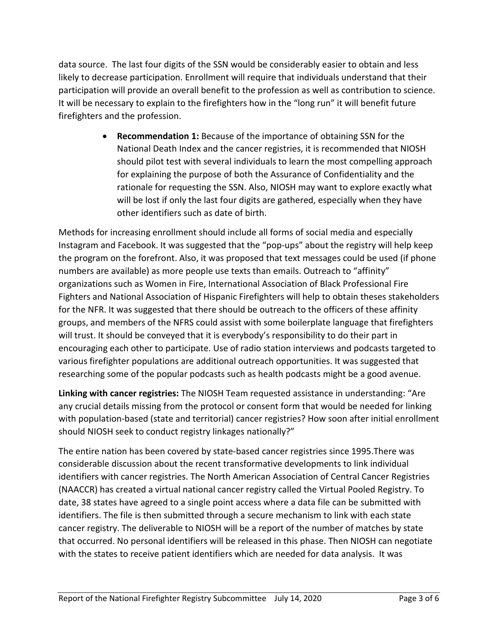data source. The last four digits of the SSN would be considerably easier to obtain and less likely to decrease participation. Enrollment will require that individuals understand that their participation will provide an overall benefit to the profession as well as contribution to science. It will be necessary to explain to the firefighters how in the "long run" it will benefit future firefighters and the profession.

> • **Recommendation 1:** Because of the importance of obtaining SSN for the National Death Index and the cancer registries, it is recommended that NIOSH should pilot test with several individuals to learn the most compelling approach for explaining the purpose of both the Assurance of Confidentiality and the rationale for requesting the SSN. Also, NIOSH may want to explore exactly what will be lost if only the last four digits are gathered, especially when they have other identifiers such as date of birth.

Methods for increasing enrollment should include all forms of social media and especially Instagram and Facebook. It was suggested that the "pop-ups" about the registry will help keep the program on the forefront. Also, it was proposed that text messages could be used (if phone numbers are available) as more people use texts than emails. Outreach to "affinity" organizations such as Women in Fire, International Association of Black Professional Fire Fighters and National Association of Hispanic Firefighters will help to obtain theses stakeholders for the NFR. It was suggested that there should be outreach to the officers of these affinity groups, and members of the NFRS could assist with some boilerplate language that firefighters will trust. It should be conveyed that it is everybody's responsibility to do their part in encouraging each other to participate. Use of radio station interviews and podcasts targeted to various firefighter populations are additional outreach opportunities. It was suggested that researching some of the popular podcasts such as health podcasts might be a good avenue.

**Linking with cancer registries:** The NIOSH Team requested assistance in understanding: "Are any crucial details missing from the protocol or consent form that would be needed for linking with population-based (state and territorial) cancer registries? How soon after initial enrollment should NIOSH seek to conduct registry linkages nationally?"

The entire nation has been covered by state-based cancer registries since 1995.There was considerable discussion about the recent transformative developments to link individual identifiers with cancer registries. The North American Association of Central Cancer Registries (NAACCR) has created a virtual national cancer registry called the Virtual Pooled Registry. To date, 38 states have agreed to a single point access where a data file can be submitted with identifiers. The file is then submitted through a secure mechanism to link with each state cancer registry. The deliverable to NIOSH will be a report of the number of matches by state that occurred. No personal identifiers will be released in this phase. Then NIOSH can negotiate with the states to receive patient identifiers which are needed for data analysis. It was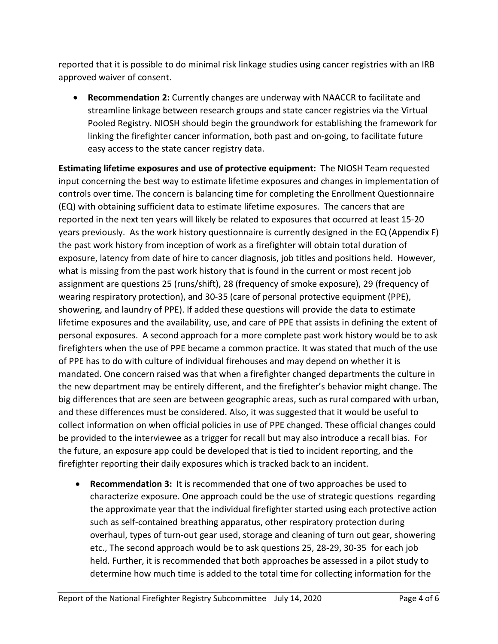reported that it is possible to do minimal risk linkage studies using cancer registries with an IRB approved waiver of consent.

• **Recommendation 2:** Currently changes are underway with NAACCR to facilitate and streamline linkage between research groups and state cancer registries via the Virtual Pooled Registry. NIOSH should begin the groundwork for establishing the framework for linking the firefighter cancer information, both past and on-going, to facilitate future easy access to the state cancer registry data.

**Estimating lifetime exposures and use of protective equipment:** The NIOSH Team requested input concerning the best way to estimate lifetime exposures and changes in implementation of controls over time. The concern is balancing time for completing the Enrollment Questionnaire (EQ) with obtaining sufficient data to estimate lifetime exposures. The cancers that are reported in the next ten years will likely be related to exposures that occurred at least 15-20 years previously. As the work history questionnaire is currently designed in the EQ (Appendix F) the past work history from inception of work as a firefighter will obtain total duration of exposure, latency from date of hire to cancer diagnosis, job titles and positions held. However, what is missing from the past work history that is found in the current or most recent job assignment are questions 25 (runs/shift), 28 (frequency of smoke exposure), 29 (frequency of wearing respiratory protection), and 30-35 (care of personal protective equipment (PPE), showering, and laundry of PPE). If added these questions will provide the data to estimate lifetime exposures and the availability, use, and care of PPE that assists in defining the extent of personal exposures. A second approach for a more complete past work history would be to ask firefighters when the use of PPE became a common practice. It was stated that much of the use of PPE has to do with culture of individual firehouses and may depend on whether it is mandated. One concern raised was that when a firefighter changed departments the culture in the new department may be entirely different, and the firefighter's behavior might change. The big differences that are seen are between geographic areas, such as rural compared with urban, and these differences must be considered. Also, it was suggested that it would be useful to collect information on when official policies in use of PPE changed. These official changes could be provided to the interviewee as a trigger for recall but may also introduce a recall bias. For the future, an exposure app could be developed that is tied to incident reporting, and the firefighter reporting their daily exposures which is tracked back to an incident.

• **Recommendation 3:** It is recommended that one of two approaches be used to characterize exposure. One approach could be the use of strategic questions regarding the approximate year that the individual firefighter started using each protective action such as self-contained breathing apparatus, other respiratory protection during overhaul, types of turn-out gear used, storage and cleaning of turn out gear, showering etc., The second approach would be to ask questions 25, 28-29, 30-35 for each job held. Further, it is recommended that both approaches be assessed in a pilot study to determine how much time is added to the total time for collecting information for the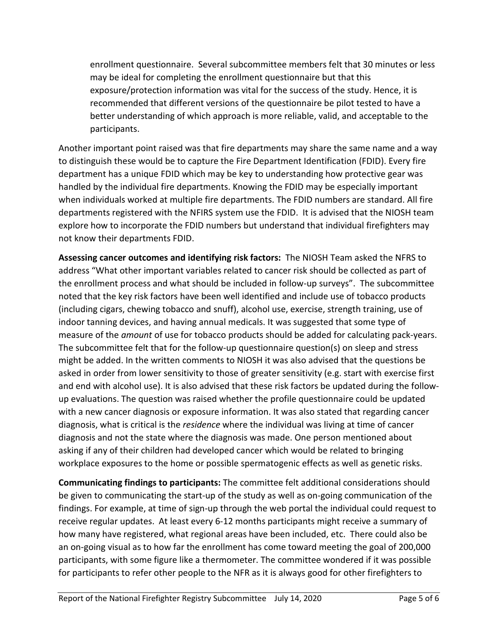enrollment questionnaire. Several subcommittee members felt that 30 minutes or less may be ideal for completing the enrollment questionnaire but that this exposure/protection information was vital for the success of the study. Hence, it is recommended that different versions of the questionnaire be pilot tested to have a better understanding of which approach is more reliable, valid, and acceptable to the participants.

Another important point raised was that fire departments may share the same name and a way to distinguish these would be to capture the Fire Department Identification (FDID). Every fire department has a unique FDID which may be key to understanding how protective gear was handled by the individual fire departments. Knowing the FDID may be especially important when individuals worked at multiple fire departments. The FDID numbers are standard. All fire departments registered with the NFIRS system use the FDID. It is advised that the NIOSH team explore how to incorporate the FDID numbers but understand that individual firefighters may not know their departments FDID.

**Assessing cancer outcomes and identifying risk factors:** The NIOSH Team asked the NFRS to address "What other important variables related to cancer risk should be collected as part of the enrollment process and what should be included in follow-up surveys". The subcommittee noted that the key risk factors have been well identified and include use of tobacco products (including cigars, chewing tobacco and snuff), alcohol use, exercise, strength training, use of indoor tanning devices, and having annual medicals. It was suggested that some type of measure of the *amount* of use for tobacco products should be added for calculating pack-years. The subcommittee felt that for the follow-up questionnaire question(s) on sleep and stress might be added. In the written comments to NIOSH it was also advised that the questions be asked in order from lower sensitivity to those of greater sensitivity (e.g. start with exercise first and end with alcohol use). It is also advised that these risk factors be updated during the followup evaluations. The question was raised whether the profile questionnaire could be updated with a new cancer diagnosis or exposure information. It was also stated that regarding cancer diagnosis, what is critical is the *residence* where the individual was living at time of cancer diagnosis and not the state where the diagnosis was made. One person mentioned about asking if any of their children had developed cancer which would be related to bringing workplace exposures to the home or possible spermatogenic effects as well as genetic risks.

**Communicating findings to participants:** The committee felt additional considerations should be given to communicating the start-up of the study as well as on-going communication of the findings. For example, at time of sign-up through the web portal the individual could request to receive regular updates. At least every 6-12 months participants might receive a summary of how many have registered, what regional areas have been included, etc. There could also be an on-going visual as to how far the enrollment has come toward meeting the goal of 200,000 participants, with some figure like a thermometer. The committee wondered if it was possible for participants to refer other people to the NFR as it is always good for other firefighters to